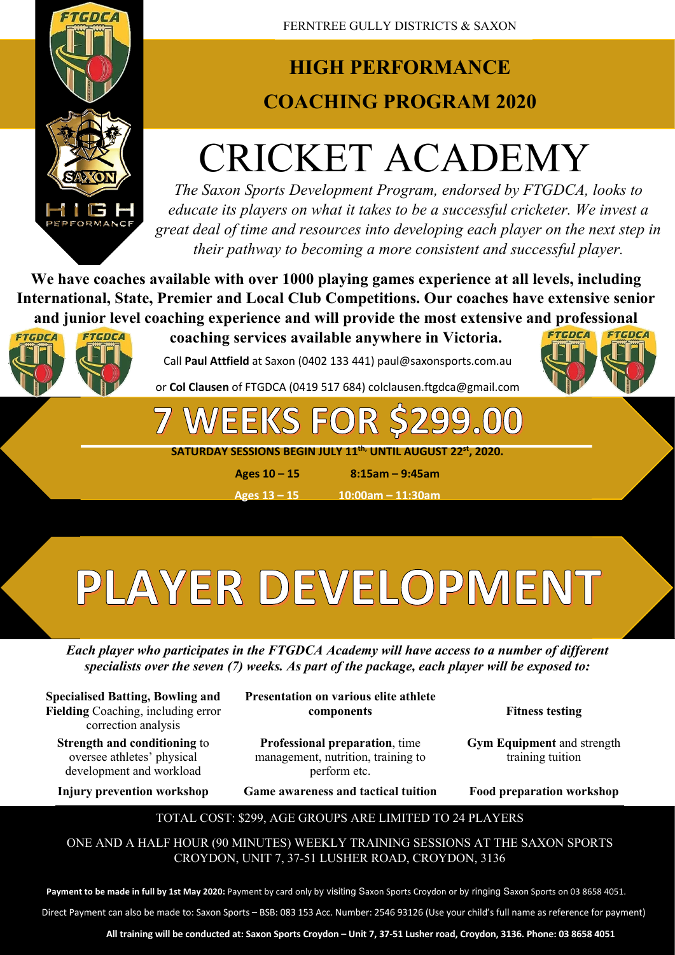

### **HIGH PERFORMANCE COACHING PROGRAM 2020**

## CRICKET ACADEMY

*The Saxon Sports Development Program, endorsed by FTGDCA, looks to educate its players on what it takes to be a successful cricketer. We invest a great deal of time and resources into developing each player on the next step in their pathway to becoming a more consistent and successful player.*

**We have coaches available with over 1000 playing games experience at all levels, including International, State, Premier and Local Club Competitions. Our coaches have extensive senior and junior level coaching experience and will provide the most extensive and professional** 



**coaching services available anywhere in Victoria.**

SPORTS

Call **Paul Attfield** at Saxon (0402 133 441) paul@saxonsports.com.au

or **Col Clausen** of FTGDCA (0419 517 684) colclausen.ftgdca@gmail.com

EKS

**SATURDAY SESSIONS BEGIN JULY 11th, UNTIL AUGUST 22st, 2020.**

**Ages 10 – 15 8:15am – 9:45am**

**Ages 13 – 15 10:00am – 11:30am** 

# PLAYER DEVELOPMENT

*Each player who participates in the FTGDCA Academy will have access to a number of different specialists over the seven (7) weeks. As part of the package, each player will be exposed to:*

**Specialised Batting, Bowling and Fielding** Coaching, including error correction analysis

**Strength and conditioning** to oversee athletes' physical development and workload

**Presentation on various elite athlete components Fitness testing**

**Professional preparation**, time management, nutrition, training to perform etc.

FTGDCA

FTGDCA

**Gym Equipment** and strength training tuition

**Injury prevention workshop Game awareness and tactical tuition Food preparation workshop**

### TOTAL COST: \$299, AGE GROUPS ARE LIMITED TO 24 PLAYERS

ONE AND A HALF HOUR (90 MINUTES) WEEKLY TRAINING SESSIONS AT THE SAXON SPORTS CROYDON, UNIT 7, 37-51 LUSHER ROAD, CROYDON, 3136

**Payment to be made in full by 1st May 2020:** Payment by card only by visiting Saxon Sports Croydon or by ringing Saxon Sports on 03 8658 4051.

Direct Payment can also be made to: Saxon Sports – BSB: 083 153 Acc. Number: 2546 93126 (Use your child's full name as reference for payment)

**All training will be conducted at: Saxon Sports Croydon – Unit 7, 37-51 Lusher road, Croydon, 3136. Phone: 03 8658 4051**